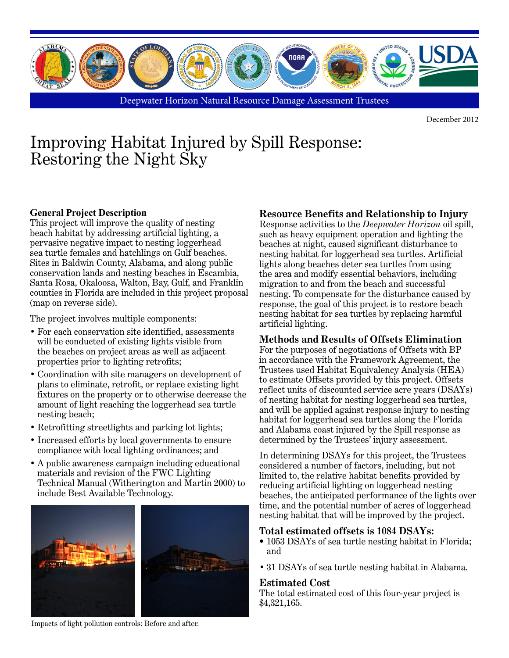

Deepwater Horizon Natural Resource Damage Assessment Trustees

December 2012

# Improving Habitat Injured by Spill Response: Restoring the Night Sky

## **General Project Description**

This project will improve the quality of nesting beach habitat by addressing artificial lighting, a pervasive negative impact to nesting loggerhead sea turtle females and hatchlings on Gulf beaches. Sites in Baldwin County, Alabama, and along public conservation lands and nesting beaches in Escambia, Santa Rosa, Okaloosa, Walton, Bay, Gulf, and Franklin counties in Florida are included in this project proposal (map on reverse side).

The project involves multiple components:

- For each conservation site identified, assessments will be conducted of existing lights visible from the beaches on project areas as well as adjacent properties prior to lighting retrofits;
- Coordination with site managers on development of plans to eliminate, retrofit, or replace existing light fixtures on the property or to otherwise decrease the amount of light reaching the loggerhead sea turtle nesting beach;
- Retrofitting streetlights and parking lot lights;
- Increased efforts by local governments to ensure compliance with local lighting ordinances; and
- A public awareness campaign including educational materials and revision of the FWC Lighting Technical Manual (Witherington and Martin 2000) to include Best Available Technology.



#### Impacts of light pollution controls: Before and after.

# **Resource Benefits and Relationship to Injury**

Response activities to the *Deepwater Horizon* oil spill, such as heavy equipment operation and lighting the beaches at night, caused significant disturbance to nesting habitat for loggerhead sea turtles. Artificial lights along beaches deter sea turtles from using the area and modify essential behaviors, including migration to and from the beach and successful nesting. To compensate for the disturbance caused by response, the goal of this project is to restore beach nesting habitat for sea turtles by replacing harmful artificial lighting.

## **Methods and Results of Offsets Elimination**

For the purposes of negotiations of Offsets with BP in accordance with the Framework Agreement, the Trustees used Habitat Equivalency Analysis (HEA) to estimate Offsets provided by this project. Offsets reflect units of discounted service acre years (DSAYs) of nesting habitat for nesting loggerhead sea turtles, and will be applied against response injury to nesting habitat for loggerhead sea turtles along the Florida and Alabama coast injured by the Spill response as determined by the Trustees' injury assessment.

In determining DSAYs for this project, the Trustees considered a number of factors, including, but not limited to, the relative habitat benefits provided by reducing artificial lighting on loggerhead nesting beaches, the anticipated performance of the lights over time, and the potential number of acres of loggerhead nesting habitat that will be improved by the project.

#### **Total estimated offsets is 1084 DSAYs:**

- 1053 DSAYs of sea turtle nesting habitat in Florida; and
- 31 DSAYs of sea turtle nesting habitat in Alabama.

#### **Estimated Cost**

The total estimated cost of this four-year project is \$4,321,165.